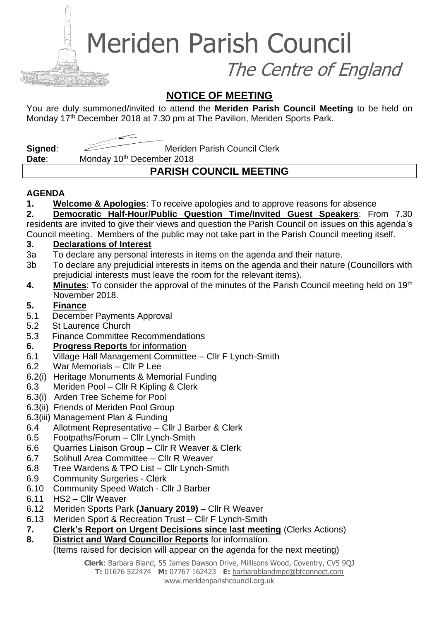Meriden Parish Council

The Centre of England

### **NOTICE OF MEETING**

You are duly summoned/invited to attend the **Meriden Parish Council Meeting** to be held on Monday 17<sup>th</sup> December 2018 at 7.30 pm at The Pavilion, Meriden Sports Park.

**Signed:** Meriden Parish Council Clerk

Date: Monday 10<sup>th</sup> December 2018

## **PARISH COUNCIL MEETING**

### **AGENDA**

**1. Welcome & Apologies**: To receive apologies and to approve reasons for absence

**2. Democratic Half-Hour/Public Question Time/Invited Guest Speakers**: From 7.30 residents are invited to give their views and question the Parish Council on issues on this agenda's Council meeting. Members of the public may not take part in the Parish Council meeting itself.

### **3. Declarations of Interest**

- 3a To declare any personal interests in items on the agenda and their nature.
- 3b To declare any prejudicial interests in items on the agenda and their nature (Councillors with prejudicial interests must leave the room for the relevant items).
- **4. Minutes**: To consider the approval of the minutes of the Parish Council meeting held on 19th November 2018.

### **5. Finance**

- 5.1 December Payments Approval
- 5.2 St Laurence Church
- 5.3 Finance Committee Recommendations

### **6. Progress Reports** for information

- 6.1 Village Hall Management Committee Cllr F Lynch-Smith
- 6.2 War Memorials Cllr P Lee
- 6.2(i) Heritage Monuments & Memorial Funding
- 6.3 Meriden Pool Cllr R Kipling & Clerk
- 6.3(i) Arden Tree Scheme for Pool
- 6.3(ii) Friends of Meriden Pool Group
- 6.3(iii) Management Plan & Funding
- 6.4 Allotment Representative Cllr J Barber & Clerk
- 6.5 Footpaths/Forum Cllr Lynch-Smith
- 6.6 Quarries Liaison Group Cllr R Weaver & Clerk
- 6.7 Solihull Area Committee Cllr R Weaver
- 6.8 Tree Wardens & TPO List Cllr Lynch-Smith
- 6.9 Community Surgeries Clerk
- 6.10 Community Speed Watch Cllr J Barber
- 6.11 HS2 Cllr Weaver
- 6.12 Meriden Sports Park **(January 2019)** Cllr R Weaver
- 6.13 Meriden Sport & Recreation Trust Cllr F Lynch-Smith
- **7. Clerk's Report on Urgent Decisions since last meeting** (Clerks Actions)
- **8. District and Ward Councillor Reports** for information.

### (Items raised for decision will appear on the agenda for the next meeting)

**Clerk**: Barbara Bland, 55 James Dawson Drive, Millisons Wood, Coventry, CV5 9QJ **T:** 01676 522474 **M:** 07767 162423 **E:** [barbarablandmpc@btconnect.com](mailto:barbarablandmpc@btconnect.com) www.meridenparishcouncil.org.uk